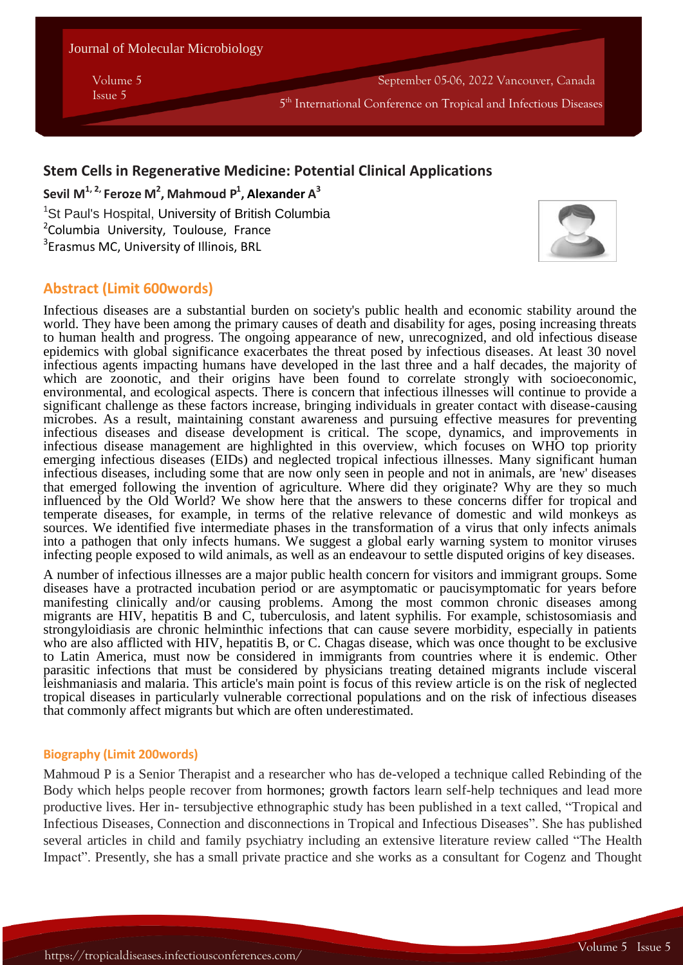Journal of Molecular Microbiology

Volume 5 **Issue 5** 5 September 05-06, 2022 Vancouver, Canada

5<sup>th</sup> International Conference on Tropical and Infectious Diseases

# **Stem Cells in Regenerative Medicine: Potential Clinical Applications**

**Sevil M 1, 2, Feroze M 2 , Mahmoud P 1 , Alexander A 3**

<sup>1</sup>St Paul's Hospital, University of British Columbia <sup>2</sup>Columbia University, Toulouse, France 3 Erasmus MC, University of Illinois, BRL



**Volume 10 Issue 4**

# **Abstract (Limit 600words)**

Infectious diseases are a substantial burden on society's public health and economic stability around the world. They have been among the primary causes of death and disability for ages, posing increasing threats to human health and progress. The ongoing appearance of new, unrecognized, and old infectious disease epidemics with global significance exacerbates the threat posed by infectious diseases. At least 30 novel infectious agents impacting humans have developed in the last three and a half decades, the majority of which are zoonotic, and their origins have been found to correlate strongly with socioeconomic, environmental, and ecological aspects. There is concern that infectious illnesses will continue to provide a significant challenge as these factors increase, bringing individuals in greater contact with disease-causing microbes. As a result, maintaining constant awareness and pursuing effective measures for preventing infectious diseases and disease development is critical. The scope, dynamics, and improvements in infectious disease management are highlighted in this overview, which focuses on WHO top priority emerging infectious diseases (EIDs) and neglected tropical infectious illnesses. Many significant human infectious diseases, including some that are now only seen in people and not in animals, are 'new' diseases that emerged following the invention of agriculture. Where did they originate? Why are they so much influenced by the Old World? We show here that the answers to these concerns differ for tropical and temperate diseases, for example, in terms of the relative relevance of domestic and wild monkeys as sources. We identified five intermediate phases in the transformation of a virus that only infects animals into a pathogen that only infects humans. We suggest a global early warning system to monitor viruses infecting people exposed to wild animals, as well as an endeavour to settle disputed origins of key diseases.

A number of infectious illnesses are a major public health concern for visitors and immigrant groups. Some diseases have a protracted incubation period or are asymptomatic or paucisymptomatic for years before manifesting clinically and/or causing problems. Among the most common chronic diseases among migrants are HIV, hepatitis B and C, tuberculosis, and latent syphilis. For example, schistosomiasis and strongyloidiasis are chronic helminthic infections that can cause severe morbidity, especially in patients who are also afflicted with HIV, hepatitis B, or C. Chagas disease, which was once thought to be exclusive to Latin America, must now be considered in immigrants from countries where it is endemic. Other parasitic infections that must be considered by physicians treating detained migrants include visceral leishmaniasis and malaria. This article's main point is focus of this review article is on the risk of neglected tropical diseases in particularly vulnerable correctional populations and on the risk of infectious diseases that commonly affect migrants but which are often underestimated.

### **Biography (Limit 200words)**

Mahmoud P is a Senior Therapist and a researcher who has de-veloped a technique called Rebinding of the Body which helps people recover from hormones; growth factors learn self-help techniques and lead more productive lives. Her in- tersubjective ethnographic study has been published in a text called, "Tropical and Infectious Diseases, Connection and disconnections in Tropical and Infectious Diseases". She has published several articles in child and family psychiatry including an extensive literature review called "The Health Impact". Presently, she has a small private practice and she works as a consultant for Cogenz and Thought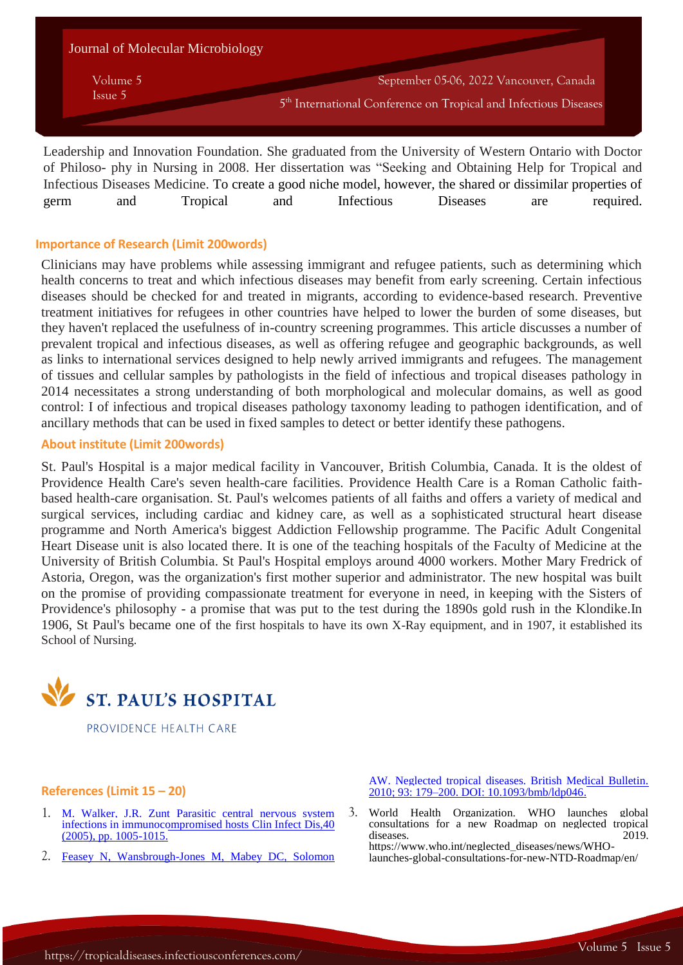| Journal of Molecular Microbiology |                                                                              |
|-----------------------------------|------------------------------------------------------------------------------|
| Volume 5                          | September 05-06, 2022 Vancouver, Canada                                      |
| Issue 5                           | 5 <sup>th</sup> International Conference on Tropical and Infectious Diseases |

Leadership and Innovation Foundation. She graduated from the University of Western Ontario with Doctor of Philoso- phy in Nursing in 2008. Her dissertation was "Seeking and Obtaining Help for Tropical and Infectious Diseases Medicine. To create a good niche model, however, the shared or dissimilar properties of germ and Tropical and Infectious Diseases are required.

## **Importance of Research (Limit 200words)**

Clinicians may have problems while assessing immigrant and refugee patients, such as determining which health concerns to treat and which infectious diseases may benefit from early screening. Certain infectious diseases should be checked for and treated in migrants, according to evidence-based research. Preventive treatment initiatives for refugees in other countries have helped to lower the burden of some diseases, but they haven't replaced the usefulness of in-country screening programmes. This article discusses a number of prevalent tropical and infectious diseases, as well as offering refugee and geographic backgrounds, as well as links to international services designed to help newly arrived immigrants and refugees. The management of tissues and cellular samples by pathologists in the field of infectious and tropical diseases pathology in 2014 necessitates a strong understanding of both morphological and molecular domains, as well as good control: I of infectious and tropical diseases pathology taxonomy leading to pathogen identification, and of ancillary methods that can be used in fixed samples to detect or better identify these pathogens.

### **About institute (Limit 200words)**

St. Paul's Hospital is a major medical facility in Vancouver, British Columbia, Canada. It is the oldest of Providence Health Care's seven health-care facilities. Providence Health Care is a Roman Catholic faithbased health-care organisation. St. Paul's welcomes patients of all faiths and offers a variety of medical and surgical services, including cardiac and kidney care, as well as a sophisticated structural heart disease programme and North America's biggest Addiction Fellowship programme. The Pacific Adult Congenital Heart Disease unit is also located there. It is one of the teaching hospitals of the Faculty of Medicine at the University of British Columbia. St Paul's Hospital employs around 4000 workers. Mother Mary Fredrick of Astoria, Oregon, was the organization's first mother superior and administrator. The new hospital was built on the promise of providing compassionate treatment for everyone in need, in keeping with the Sisters of Providence's philosophy - a promise that was put to the test during the 1890s gold rush in the Klondike.In 1906, St Paul's became one of the first hospitals to have its own X-Ray equipment, and in 1907, it established its School of Nursing.



PROVIDENCE HEALTH CARE

#### **References (Limit 15 – 20)**

- 1. M. Walker, J.R. Zunt [Parasitic central nervous system](https://www.imedpub.com/journal-molecular-microbiology/archive.php)  [infections in immunocompromised hosts](https://www.imedpub.com/journal-molecular-microbiology/archive.php) Clin Infect Dis,40 [\(2005\), pp. 1005-1015.](https://www.imedpub.com/journal-molecular-microbiology/archive.php)
- 2. [Feasey N, Wansbrough-Jones M, Mabey DC, Solomon](https://www.imedpub.com/journal-molecular-microbiology/archive.php)

[AW. Neglected tropical diseases. British Medical Bulletin.](https://www.imedpub.com/journal-molecular-microbiology/archive.php)  [2010; 93: 179–200. DOI: 10.1093/bmb/ldp046.](https://www.imedpub.com/journal-molecular-microbiology/archive.php)

3. World Health Organization. WHO launches global consultations for a new Roadmap on neglected tropical diseases. https://www.who.int/neglected\_diseases/news/WHOlaunches-global-consultations-for-new-NTD-Roadmap/en/